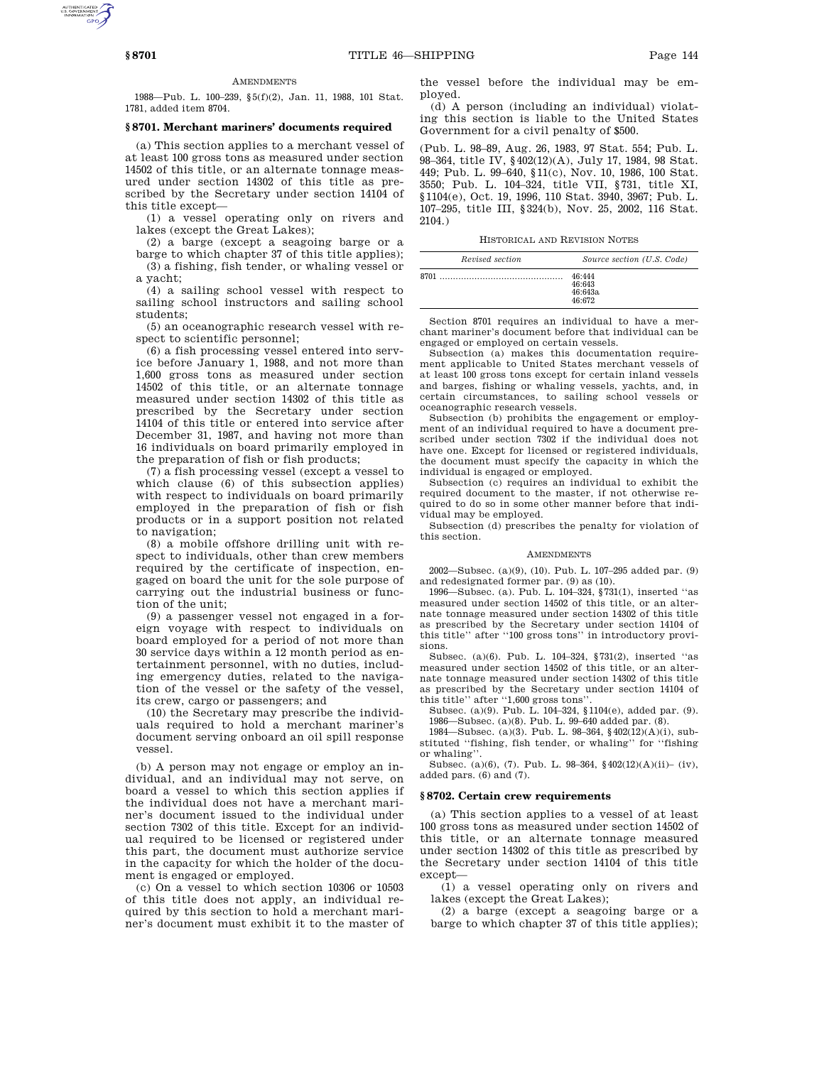### **AMENDMENTS**

1988—Pub. L. 100–239, §5(f)(2), Jan. 11, 1988, 101 Stat. 1781, added item 8704.

# **§ 8701. Merchant mariners' documents required**

(a) This section applies to a merchant vessel of at least 100 gross tons as measured under section 14502 of this title, or an alternate tonnage measured under section 14302 of this title as prescribed by the Secretary under section 14104 of this title except—

(1) a vessel operating only on rivers and lakes (except the Great Lakes);

(2) a barge (except a seagoing barge or a barge to which chapter 37 of this title applies);

(3) a fishing, fish tender, or whaling vessel or a yacht;

(4) a sailing school vessel with respect to sailing school instructors and sailing school students;

(5) an oceanographic research vessel with respect to scientific personnel;

(6) a fish processing vessel entered into service before January 1, 1988, and not more than 1,600 gross tons as measured under section 14502 of this title, or an alternate tonnage measured under section 14302 of this title as prescribed by the Secretary under section 14104 of this title or entered into service after December 31, 1987, and having not more than 16 individuals on board primarily employed in the preparation of fish or fish products;

(7) a fish processing vessel (except a vessel to which clause (6) of this subsection applies) with respect to individuals on board primarily employed in the preparation of fish or fish products or in a support position not related to navigation;

(8) a mobile offshore drilling unit with respect to individuals, other than crew members required by the certificate of inspection, engaged on board the unit for the sole purpose of carrying out the industrial business or function of the unit;

(9) a passenger vessel not engaged in a foreign voyage with respect to individuals on board employed for a period of not more than 30 service days within a 12 month period as entertainment personnel, with no duties, including emergency duties, related to the navigation of the vessel or the safety of the vessel, its crew, cargo or passengers; and

(10) the Secretary may prescribe the individuals required to hold a merchant mariner's document serving onboard an oil spill response vessel.

(b) A person may not engage or employ an individual, and an individual may not serve, on board a vessel to which this section applies if the individual does not have a merchant mariner's document issued to the individual under section 7302 of this title. Except for an individual required to be licensed or registered under this part, the document must authorize service in the capacity for which the holder of the document is engaged or employed.

(c) On a vessel to which section 10306 or 10503 of this title does not apply, an individual required by this section to hold a merchant mariner's document must exhibit it to the master of

the vessel before the individual may be employed.

(d) A person (including an individual) violating this section is liable to the United States Government for a civil penalty of \$500.

(Pub. L. 98–89, Aug. 26, 1983, 97 Stat. 554; Pub. L. 98–364, title IV, §402(12)(A), July 17, 1984, 98 Stat. 449; Pub. L. 99–640, §11(c), Nov. 10, 1986, 100 Stat. 3550; Pub. L. 104–324, title VII, §731, title XI, §1104(e), Oct. 19, 1996, 110 Stat. 3940, 3967; Pub. L. 107–295, title III, §324(b), Nov. 25, 2002, 116 Stat. 2104.)

HISTORICAL AND REVISION NOTES

| Revised section | Source section (U.S. Code)            |
|-----------------|---------------------------------------|
| 8701            | 46.444<br>46:643<br>46:643а<br>46.672 |

Section 8701 requires an individual to have a merchant mariner's document before that individual can be engaged or employed on certain vessels.

Subsection (a) makes this documentation requirement applicable to United States merchant vessels of at least 100 gross tons except for certain inland vessels and barges, fishing or whaling vessels, yachts, and, in certain circumstances, to sailing school vessels or oceanographic research vessels.

Subsection (b) prohibits the engagement or employment of an individual required to have a document prescribed under section 7302 if the individual does not have one. Except for licensed or registered individuals, the document must specify the capacity in which the individual is engaged or employed.

Subsection (c) requires an individual to exhibit the required document to the master, if not otherwise required to do so in some other manner before that individual may be employed.

Subsection (d) prescribes the penalty for violation of this section.

#### **AMENDMENTS**

2002—Subsec. (a)(9), (10). Pub. L. 107–295 added par. (9) and redesignated former par. (9) as (10).

1996—Subsec. (a). Pub. L. 104–324, §731(1), inserted ''as measured under section 14502 of this title, or an alternate tonnage measured under section 14302 of this title as prescribed by the Secretary under section 14104 of this title'' after ''100 gross tons'' in introductory provisions.

Subsec. (a)(6). Pub. L. 104–324, §731(2), inserted ''as measured under section 14502 of this title, or an alternate tonnage measured under section 14302 of this title as prescribed by the Secretary under section 14104 of this title'' after ''1,600 gross tons''.

Subsec. (a)(9). Pub. L. 104–324, §1104(e), added par. (9). 1986—Subsec. (a)(8). Pub. L. 99–640 added par. (8).

1984—Subsec. (a)(3). Pub. L. 98–364, §402(12)(A)(i), substituted ''fishing, fish tender, or whaling'' for ''fishing or whaling''.

Subsec. (a)(6), (7). Pub. L. 98–364, §402(12)(A)(ii)– (iv), added pars. (6) and (7).

# **§ 8702. Certain crew requirements**

(a) This section applies to a vessel of at least 100 gross tons as measured under section 14502 of this title, or an alternate tonnage measured under section 14302 of this title as prescribed by the Secretary under section 14104 of this title except—

(1) a vessel operating only on rivers and lakes (except the Great Lakes);

(2) a barge (except a seagoing barge or a barge to which chapter 37 of this title applies);